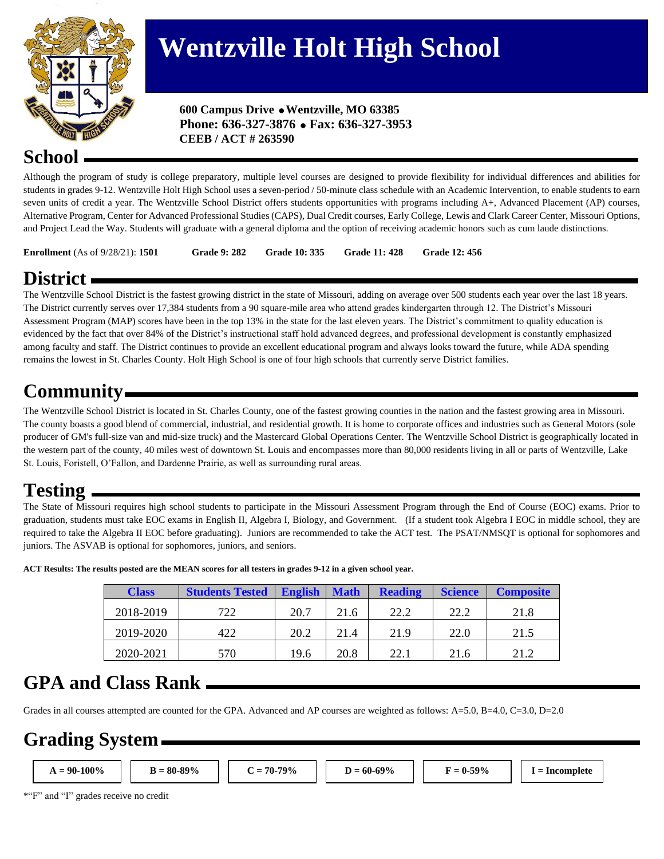

# **Wentzville Holt High School**

 **600 Campus Drive Wentzville, MO 63385 Phone: 636-327-3876 Fax: 636-327-3953 CEEB / ACT # 263590**

#### **School**

Although the program of study is college preparatory, multiple level courses are designed to provide flexibility for individual differences and abilities for students in grades 9-12. Wentzville Holt High School uses a seven-period / 50-minute class schedule with an Academic Intervention, to enable students to earn seven units of credit a year. The Wentzville School District offers students opportunities with programs including A+, Advanced Placement (AP) courses, Alternative Program, Center for Advanced Professional Studies (CAPS), Dual Credit courses, Early College, Lewis and Clark Career Center, Missouri Options, and Project Lead the Way. Students will graduate with a general diploma and the option of receiving academic honors such as cum laude distinctions.

**Enrollment** (As of 9/28/21): **1501 Grade 9: 282 Grade 10: 335 Grade 11: 428 Grade 12: 456**

# **District**

The Wentzville School District is the fastest growing district in the state of Missouri, adding on average over 500 students each year over the last 18 years. The District currently serves over 17,384 students from a 90 square-mile area who attend grades kindergarten through 12. The District's Missouri Assessment Program (MAP) scores have been in the top 13% in the state for the last eleven years. The District's commitment to quality education is evidenced by the fact that over 84% of the District's instructional staff hold advanced degrees, and professional development is constantly emphasized among faculty and staff. The District continues to provide an excellent educational program and always looks toward the future, while ADA spending remains the lowest in St. Charles County. Holt High School is one of four high schools that currently serve District families.

# **Community**

The Wentzville School District is located in St. Charles County, one of the fastest growing counties in the nation and the fastest growing area in Missouri. The county boasts a good blend of commercial, industrial, and residential growth. It is home to corporate offices and industries such as General Motors (sole producer of GM's full-size van and mid-size truck) and the Mastercard Global Operations Center. The Wentzville School District is geographically located in the western part of the county, 40 miles west of downtown St. Louis and encompasses more than 80,000 residents living in all or parts of Wentzville, Lake St. Louis, Foristell, O'Fallon, and Dardenne Prairie, as well as surrounding rural areas.

#### **Testing**

The State of Missouri requires high school students to participate in the Missouri Assessment Program through the End of Course (EOC) exams. Prior to graduation, students must take EOC exams in English II, Algebra I, Biology, and Government. (If a student took Algebra I EOC in middle school, they are required to take the Algebra II EOC before graduating). Juniors are recommended to take the ACT test. The PSAT/NMSQT is optional for sophomores and juniors. The ASVAB is optional for sophomores, juniors, and seniors.

| <b>Class</b> | <b>Students Tested</b> | <b>English</b> | <b>Math</b> | <b>Reading</b> | <b>Science</b> | <b>Composite</b> |
|--------------|------------------------|----------------|-------------|----------------|----------------|------------------|
| 2018-2019    | 722                    | 20.7           | 21.6        | 22.2           | 22.2           | 21.8             |
| 2019-2020    | 422                    | 20.2           | 21.4        | 21.9           | 22.0           | 21.5             |
| 2020-2021    | 570                    | 19.6           | 20.8        | 22.1           | 21.6           | 21.2             |

**ACT Results: The results posted are the MEAN scores for all testers in grades 9-12 in a given school year.** 

#### **GPA and Class Rank**

Grades in all courses attempted are counted for the GPA. Advanced and AP courses are weighted as follows: A=5.0, B=4.0, C=3.0, D=2.0

# **Grading System**

**A = 90-100% B = 80-89% C = 70-79% D = 60-69% F = 0-59% I = Incomplete**

\*"F" and "I" grades receive no credit